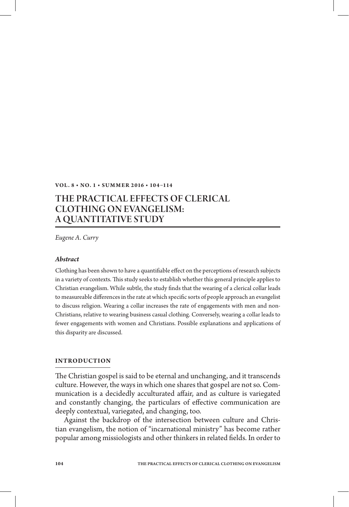#### **VOL. 8 • NO. 1 • SUMMER 2016 • 104-114**

# The Practical Effects of Clerical Clothing on Evangelism: A Quantitative Study

*Eugene A. Curry*

#### *Abstract*

Clothing has been shown to have a quantifiable effect on the perceptions of research subjects in a variety of contexts. This study seeks to establish whether this general principle applies to Christian evangelism. While subtle, the study finds that the wearing of a clerical collar leads to measureable differences in the rate at which specific sorts of people approach an evangelist to discuss religion. Wearing a collar increases the rate of engagements with men and non-Christians, relative to wearing business casual clothing. Conversely, wearing a collar leads to fewer engagements with women and Christians. Possible explanations and applications of this disparity are discussed.

#### **Introduction**

The Christian gospel is said to be eternal and unchanging, and it transcends culture. However, the ways in which one shares that gospel are not so. Communication is a decidedly acculturated affair, and as culture is variegated and constantly changing, the particulars of effective communication are deeply contextual, variegated, and changing, too.

Against the backdrop of the intersection between culture and Christian evangelism, the notion of "incarnational ministry" has become rather popular among missiologists and other thinkers in related fields. In order to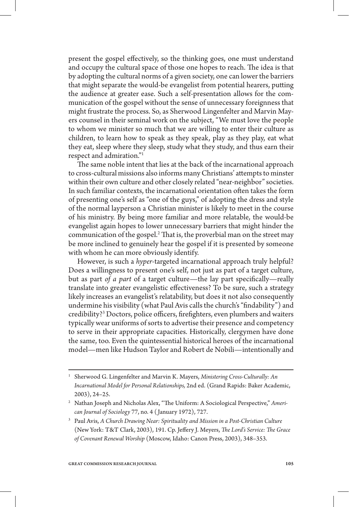present the gospel effectively, so the thinking goes, one must understand and occupy the cultural space of those one hopes to reach. The idea is that by adopting the cultural norms of a given society, one can lower the barriers that might separate the would-be evangelist from potential hearers, putting the audience at greater ease. Such a self-presentation allows for the communication of the gospel without the sense of unnecessary foreignness that might frustrate the process. So, as Sherwood Lingenfelter and Marvin Mayers counsel in their seminal work on the subject, "We must love the people to whom we minister so much that we are willing to enter their culture as children, to learn how to speak as they speak, play as they play, eat what they eat, sleep where they sleep, study what they study, and thus earn their respect and admiration."1

The same noble intent that lies at the back of the incarnational approach to cross-cultural missions also informs many Christians' attempts to minster within their own culture and other closely related "near-neighbor" societies. In such familiar contexts, the incarnational orientation often takes the form of presenting one's self as "one of the guys," of adopting the dress and style of the normal layperson a Christian minister is likely to meet in the course of his ministry. By being more familiar and more relatable, the would-be evangelist again hopes to lower unnecessary barriers that might hinder the communication of the gospel.<sup>2</sup> That is, the proverbial man on the street may be more inclined to genuinely hear the gospel if it is presented by someone with whom he can more obviously identify.

However, is such a *hyper*-targeted incarnational approach truly helpful? Does a willingness to present one's self, not just as part of a target culture, but as part *of a part* of a target culture—the lay part specifically—really translate into greater evangelistic effectiveness? To be sure, such a strategy likely increases an evangelist's relatability, but does it not also consequently undermine his visibility (what Paul Avis calls the church's "findability") and credibility?3 Doctors, police officers, firefighters, even plumbers and waiters typically wear uniforms of sorts to advertise their presence and competency to serve in their appropriate capacities. Historically, clergymen have done the same, too. Even the quintessential historical heroes of the incarnational model—men like Hudson Taylor and Robert de Nobili—intentionally and

<sup>1</sup> Sherwood G. Lingenfelter and Marvin K. Mayers, *Ministering Cross-Culturally: An Incarnational Model for Personal Relationships,* 2nd ed. (Grand Rapids: Baker Academic, 2003), 24–25.

<sup>2</sup> Nathan Joseph and Nicholas Alex, "The Uniform: A Sociological Perspective," *American Journal of Sociology* 77, no. 4 ( January 1972), 727.

<sup>3</sup> Paul Avis, *A Church Drawing Near: Spirituality and Mission in a Post-Christian Culture* (New York: T&T Clark, 2003), 191. Cp. Jeffery J. Meyers, *The Lord's Service: The Grace of Covenant Renewal Worship* (Moscow, Idaho: Canon Press, 2003), 348–353.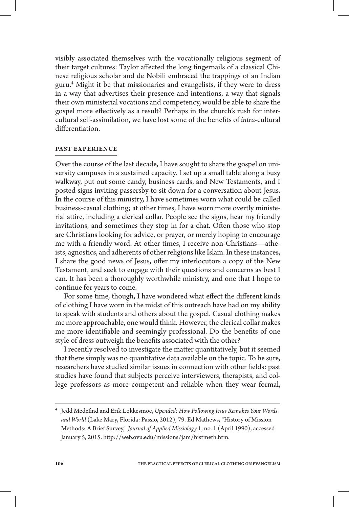visibly associated themselves with the vocationally religious segment of their target cultures: Taylor affected the long fingernails of a classical Chinese religious scholar and de Nobili embraced the trappings of an Indian guru.4 Might it be that missionaries and evangelists, if they were to dress in a way that advertises their presence and intentions, a way that signals their own ministerial vocations and competency, would be able to share the gospel more effectively as a result? Perhaps in the church's rush for intercultural self-assimilation, we have lost some of the benefits of *intra*-cultural differentiation.

# **Past Experience**

Over the course of the last decade, I have sought to share the gospel on university campuses in a sustained capacity. I set up a small table along a busy walkway, put out some candy, business cards, and New Testaments, and I posted signs inviting passersby to sit down for a conversation about Jesus. In the course of this ministry, I have sometimes worn what could be called business-casual clothing; at other times, I have worn more overtly ministerial attire, including a clerical collar. People see the signs, hear my friendly invitations, and sometimes they stop in for a chat. Often those who stop are Christians looking for advice, or prayer, or merely hoping to encourage me with a friendly word. At other times, I receive non-Christians—atheists, agnostics, and adherents of other religions like Islam. In these instances, I share the good news of Jesus, offer my interlocutors a copy of the New Testament, and seek to engage with their questions and concerns as best I can. It has been a thoroughly worthwhile ministry, and one that I hope to continue for years to come.

For some time, though, I have wondered what effect the different kinds of clothing I have worn in the midst of this outreach have had on my ability to speak with students and others about the gospel. Casual clothing makes me more approachable, one would think. However, the clerical collar makes me more identifiable and seemingly professional. Do the benefits of one style of dress outweigh the benefits associated with the other?

I recently resolved to investigate the matter quantitatively, but it seemed that there simply was no quantitative data available on the topic. To be sure, researchers have studied similar issues in connection with other fields: past studies have found that subjects perceive interviewers, therapists, and college professors as more competent and reliable when they wear formal,

<sup>4</sup> Jedd Medefind and Erik Lokkesmoe, *Upended: How Following Jesus Remakes Your Words and World* (Lake Mary, Florida: Passio, 2012), 79. Ed Mathews, "History of Mission Methods: A Brief Survey," *Journal of Applied Missiology* 1, no. 1 (April 1990), accessed January 5, 2015. http://web.ovu.edu/missions/jam/histmeth.htm.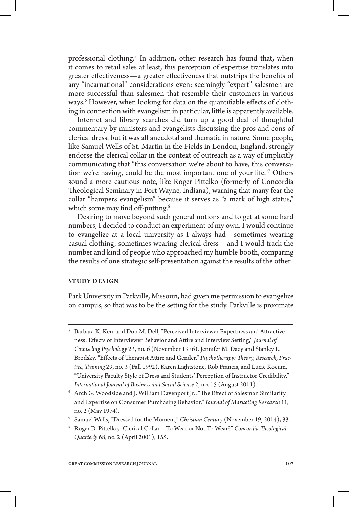professional clothing.<sup>5</sup> In addition, other research has found that, when it comes to retail sales at least, this perception of expertise translates into greater effectiveness—a greater effectiveness that outstrips the benefits of any "incarnational" considerations even: seemingly "expert" salesmen are more successful than salesmen that resemble their customers in various ways.<sup>6</sup> However, when looking for data on the quantifiable effects of clothing in connection with evangelism in particular, little is apparently available.

Internet and library searches did turn up a good deal of thoughtful commentary by ministers and evangelists discussing the pros and cons of clerical dress, but it was all anecdotal and thematic in nature. Some people, like Samuel Wells of St. Martin in the Fields in London, England, strongly endorse the clerical collar in the context of outreach as a way of implicitly communicating that "this conversation we're about to have, this conversation we're having, could be the most important one of your life."7 Others sound a more cautious note, like Roger Pittelko (formerly of Concordia Theological Seminary in Fort Wayne, Indiana), warning that many fear the collar "hampers evangelism" because it serves as "a mark of high status," which some may find off-putting.<sup>8</sup>

Desiring to move beyond such general notions and to get at some hard numbers, I decided to conduct an experiment of my own. I would continue to evangelize at a local university as I always had—sometimes wearing casual clothing, sometimes wearing clerical dress—and I would track the number and kind of people who approached my humble booth, comparing the results of one strategic self-presentation against the results of the other.

#### **Study Design**

Park University in Parkville, Missouri, had given me permission to evangelize on campus, so that was to be the setting for the study. Parkville is proximate

- <sup>5</sup> Barbara K. Kerr and Don M. Dell, "Perceived Interviewer Expertness and Attractiveness: Effects of Interviewer Behavior and Attire and Interview Setting," *Journal of Counseling Psychology* 23, no. 6 (November 1976). Jennifer M. Dacy and Stanley L. Brodsky, "Effects of Therapist Attire and Gender," *Psychotherapy: Theory, Research, Practice, Training* 29, no. 3 (Fall 1992). Karen Lightstone, Rob Francis, and Lucie Kocum, "University Faculty Style of Dress and Students' Perception of Instructor Credibility," *International Journal of Business and Social Science* 2, no. 15 (August 2011).
- <sup>6</sup> Arch G. Woodside and J. William Davenport Jr., "The Effect of Salesman Similarity and Expertise on Consumer Purchasing Behavior," *Journal of Marketing Research* 11, no. 2 (May 1974).
- <sup>7</sup> Samuel Wells, "Dressed for the Moment," *Christian Century* (November 19, 2014), 33.
- <sup>8</sup> Roger D. Pittelko, "Clerical Collar—To Wear or Not To Wear?" *Concordia Theological Quarterly* 68, no. 2 (April 2001), 155.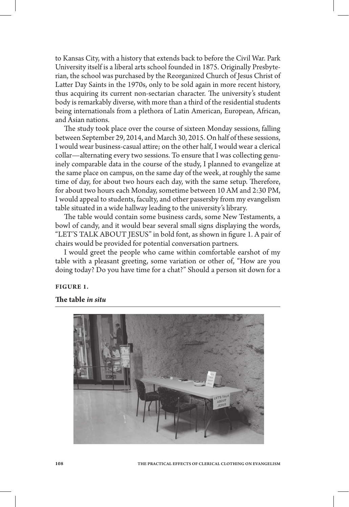to Kansas City, with a history that extends back to before the Civil War. Park University itself is a liberal arts school founded in 1875. Originally Presbyterian, the school was purchased by the Reorganized Church of Jesus Christ of Latter Day Saints in the 1970s, only to be sold again in more recent history, thus acquiring its current non-sectarian character. The university's student body is remarkably diverse, with more than a third of the residential students being internationals from a plethora of Latin American, European, African, and Asian nations.

The study took place over the course of sixteen Monday sessions, falling between September 29, 2014, and March 30, 2015. On half of these sessions, I would wear business-casual attire; on the other half, I would wear a clerical collar—alternating every two sessions. To ensure that I was collecting genuinely comparable data in the course of the study, I planned to evangelize at the same place on campus, on the same day of the week, at roughly the same time of day, for about two hours each day, with the same setup. Therefore, for about two hours each Monday, sometime between 10 AM and 2:30 PM, I would appeal to students, faculty, and other passersby from my evangelism table situated in a wide hallway leading to the university's library.

The table would contain some business cards, some New Testaments, a bowl of candy, and it would bear several small signs displaying the words, "LET'S TALK ABOUT JESUS" in bold font, as shown in figure 1. A pair of chairs would be provided for potential conversation partners.

I would greet the people who came within comfortable earshot of my table with a pleasant greeting, some variation or other of, "How are you doing today? Do you have time for a chat?" Should a person sit down for a

# **Figure 1.**

**The table** *in situ*

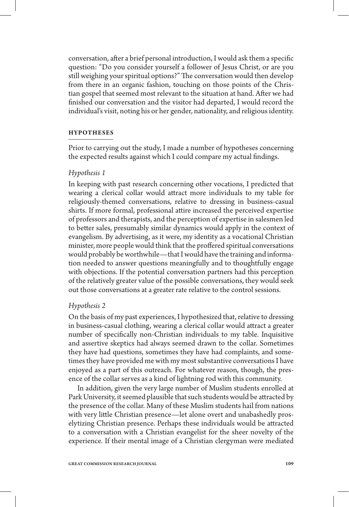conversation, after a brief personal introduction, I would ask them a specific question: "Do you consider yourself a follower of Jesus Christ, or are you still weighing your spiritual options?" The conversation would then develop from there in an organic fashion, touching on those points of the Christian gospel that seemed most relevant to the situation at hand. After we had finished our conversation and the visitor had departed, I would record the individual's visit, noting his or her gender, nationality, and religious identity.

### **Hypotheses**

Prior to carrying out the study, I made a number of hypotheses concerning the expected results against which I could compare my actual findings.

# *Hypothesis 1*

In keeping with past research concerning other vocations, I predicted that wearing a clerical collar would attract more individuals to my table for religiously-themed conversations, relative to dressing in business-casual shirts. If more formal, professional attire increased the perceived expertise of professors and therapists, and the perception of expertise in salesmen led to better sales, presumably similar dynamics would apply in the context of evangelism. By advertising, as it were, my identity as a vocational Christian minister, more people would think that the proffered spiritual conversations would probably be worthwhile—that I would have the training and information needed to answer questions meaningfully and to thoughtfully engage with objections. If the potential conversation partners had this perception of the relatively greater value of the possible conversations, they would seek out those conversations at a greater rate relative to the control sessions.

## *Hypothesis 2*

On the basis of my past experiences, I hypothesized that, relative to dressing in business-casual clothing, wearing a clerical collar would attract a greater number of specifically non-Christian individuals to my table. Inquisitive and assertive skeptics had always seemed drawn to the collar. Sometimes they have had questions, sometimes they have had complaints, and sometimes they have provided me with my most substantive conversations I have enjoyed as a part of this outreach. For whatever reason, though, the presence of the collar serves as a kind of lightning rod with this community.

In addition, given the very large number of Muslim students enrolled at Park University, it seemed plausible that such students would be attracted by the presence of the collar. Many of these Muslim students hail from nations with very little Christian presence—let alone overt and unabashedly proselytizing Christian presence. Perhaps these individuals would be attracted to a conversation with a Christian evangelist for the sheer novelty of the experience. If their mental image of a Christian clergyman were mediated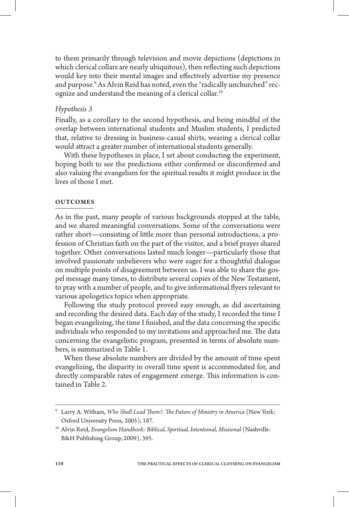to them primarily through television and movie depictions (depictions in which clerical collars are nearly ubiquitous), then reflecting such depictions would key into their mental images and effectively advertise my presence and purpose.9 As Alvin Reid has noted, even the "radically unchurched" recognize and understand the meaning of a clerical collar.10

# *Hypothesis 3*

Finally, as a corollary to the second hypothesis, and being mindful of the overlap between international students and Muslim students, I predicted that, relative to dressing in business-casual shirts, wearing a clerical collar would attract a greater number of international students generally.

With these hypotheses in place, I set about conducting the experiment, hoping both to see the predictions either confirmed or disconfirmed and also valuing the evangelism for the spiritual results it might produce in the lives of those I met.

# **Outcomes**

As in the past, many people of various backgrounds stopped at the table, and we shared meaningful conversations. Some of the conversations were rather short—consisting of little more than personal introductions, a profession of Christian faith on the part of the visitor, and a brief prayer shared together. Other conversations lasted much longer—particularly those that involved passionate unbelievers who were eager for a thoughtful dialogue on multiple points of disagreement between us. I was able to share the gospel message many times, to distribute several copies of the New Testament, to pray with a number of people, and to give informational flyers relevant to various apologetics topics when appropriate.

Following the study protocol proved easy enough, as did ascertaining and recording the desired data. Each day of the study, I recorded the time I began evangelizing, the time I finished, and the data concerning the specific individuals who responded to my invitations and approached me. The data concerning the evangelistic program, presented in terms of absolute numbers, is summarized in Table 1.

When these absolute numbers are divided by the amount of time spent evangelizing, the disparity in overall time spent is accommodated for, and directly comparable rates of engagement emerge. This information is contained in Table 2.

<sup>9</sup> Larry A. Witham, *Who Shall Lead Them?: The Future of Ministry in America* (New York: Oxford University Press, 2005), 187.

<sup>&</sup>lt;sup>10</sup> Alvin Reid, Evangelism Handbook: Biblical, Spiritual, Intentional, Missional (Nashville: B&H Publishing Group, 2009), 395.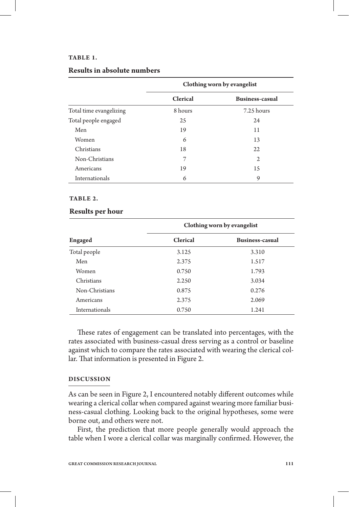#### **Table 1.**

|                         | Clothing worn by evangelist |                        |
|-------------------------|-----------------------------|------------------------|
|                         | <b>Clerical</b>             | <b>Business-casual</b> |
| Total time evangelizing | 8 hours                     | 7.25 hours             |
| Total people engaged    | 25                          | 24                     |
| Men                     | 19                          | 11                     |
| Women                   | 6                           | 13                     |
| Christians              | 18                          | 22                     |
| Non-Christians          | 7                           | $\mathfrak{2}$         |
| Americans               | 19                          | 15                     |
| Internationals          | 6                           | 9                      |

# **Results in absolute numbers**

#### **Table 2.**

#### **Results per hour**

| Engaged        | Clothing worn by evangelist |                 |
|----------------|-----------------------------|-----------------|
|                | <b>Clerical</b>             | Business-casual |
| Total people   | 3.125                       | 3.310           |
| Men            | 2.375                       | 1.517           |
| Women          | 0.750                       | 1.793           |
| Christians     | 2.250                       | 3.034           |
| Non-Christians | 0.875                       | 0.276           |
| Americans      | 2.375                       | 2.069           |
| Internationals | 0.750                       | 1.241           |

These rates of engagement can be translated into percentages, with the rates associated with business-casual dress serving as a control or baseline against which to compare the rates associated with wearing the clerical collar. That information is presented in Figure 2.

## **Discussion**

As can be seen in Figure 2, I encountered notably different outcomes while wearing a clerical collar when compared against wearing more familiar business-casual clothing. Looking back to the original hypotheses, some were borne out, and others were not.

First, the prediction that more people generally would approach the table when I wore a clerical collar was marginally confirmed. However, the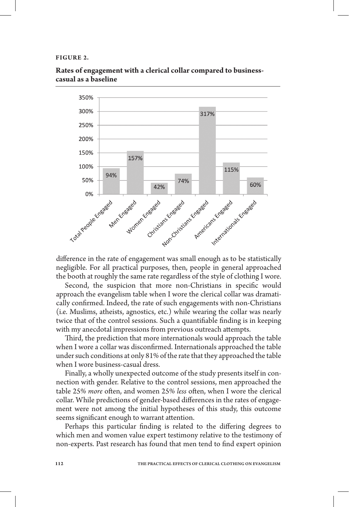#### **Figure 2.**



**Rates of engagement with a clerical collar compared to businesscasual as a baseline**

difference in the rate of engagement was small enough as to be statistically negligible. For all practical purposes, then, people in general approached the booth at roughly the same rate regardless of the style of clothing I wore.

Second, the suspicion that more non-Christians in specific would approach the evangelism table when I wore the clerical collar was dramatically confirmed. Indeed, the rate of such engagements with non-Christians (i.e. Muslims, atheists, agnostics, etc.) while wearing the collar was nearly twice that of the control sessions. Such a quantifiable finding is in keeping with my anecdotal impressions from previous outreach attempts.

Third, the prediction that more internationals would approach the table when I wore a collar was disconfirmed. Internationals approached the table under such conditions at only 81% of the rate that they approached the table when I wore business-casual dress.

Finally, a wholly unexpected outcome of the study presents itself in connection with gender. Relative to the control sessions, men approached the table 25% *more* often, and women 25% *less* often, when I wore the clerical collar. While predictions of gender-based differences in the rates of engagement were not among the initial hypotheses of this study, this outcome seems significant enough to warrant attention.

Perhaps this particular finding is related to the differing degrees to which men and women value expert testimony relative to the testimony of non-experts. Past research has found that men tend to find expert opinion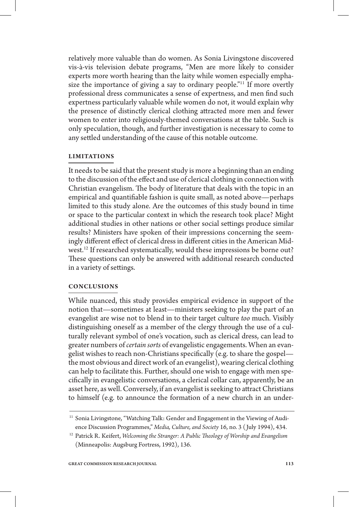relatively more valuable than do women. As Sonia Livingstone discovered vis-à-vis television debate programs, "Men are more likely to consider experts more worth hearing than the laity while women especially emphasize the importance of giving a say to ordinary people."<sup>11</sup> If more overtly professional dress communicates a sense of expertness, and men find such expertness particularly valuable while women do not, it would explain why the presence of distinctly clerical clothing attracted more men and fewer women to enter into religiously-themed conversations at the table. Such is only speculation, though, and further investigation is necessary to come to any settled understanding of the cause of this notable outcome.

# **Limitations**

It needs to be said that the present study is more a beginning than an ending to the discussion of the effect and use of clerical clothing in connection with Christian evangelism. The body of literature that deals with the topic in an empirical and quantifiable fashion is quite small, as noted above—perhaps limited to this study alone. Are the outcomes of this study bound in time or space to the particular context in which the research took place? Might additional studies in other nations or other social settings produce similar results? Ministers have spoken of their impressions concerning the seemingly different effect of clerical dress in different cities in the American Midwest.<sup>12</sup> If researched systematically, would these impressions be borne out? These questions can only be answered with additional research conducted in a variety of settings.

## **Conclusions**

While nuanced, this study provides empirical evidence in support of the notion that—sometimes at least—ministers seeking to play the part of an evangelist are wise not to blend in to their target culture *too* much. Visibly distinguishing oneself as a member of the clergy through the use of a culturally relevant symbol of one's vocation, such as clerical dress, can lead to greater numbers of *certain sorts* of evangelistic engagements. When an evangelist wishes to reach non-Christians specifically (e.g. to share the gospel the most obvious and direct work of an evangelist), wearing clerical clothing can help to facilitate this. Further, should one wish to engage with men specifically in evangelistic conversations, a clerical collar can, apparently, be an asset here, as well. Conversely, if an evangelist is seeking to attract Christians to himself (e.g. to announce the formation of a new church in an under-

<sup>&</sup>lt;sup>11</sup> Sonia Livingstone, "Watching Talk: Gender and Engagement in the Viewing of Audience Discussion Programmes," *Media, Culture, and Society* 16, no. 3 ( July 1994), 434.

<sup>12</sup> Patrick R. Keifert, *Welcoming the Stranger: A Public Theology of Worship and Evangelism* (Minneapolis: Augsburg Fortress, 1992), 136.